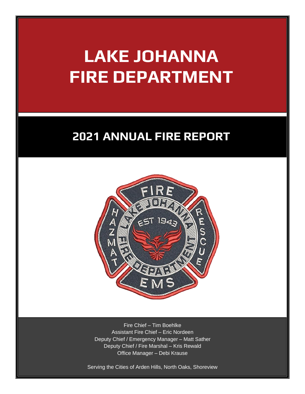# **LAKE JOHANNA FIRE DEPARTMENT**

### **2021 ANNUAL FIRE REPORT**



Fire Chief – Tim Boehlke Assistant Fire Chief – Eric Nordeen Deputy Chief / Emergency Manager – Matt Sather Deputy Chief / Fire Marshal – Kris Rewald Office Manager – Debi Krause

Serving the Cities of Arden Hills, North Oaks, Shoreview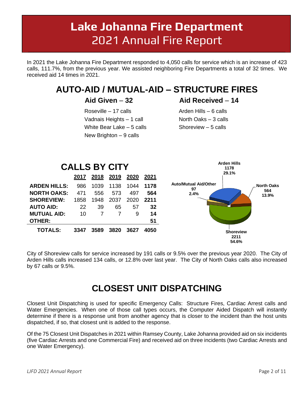## **Lake Johanna Fire Department**  2021 Annual Fire Report

**\_\_\_\_\_\_\_\_\_\_\_\_\_\_\_\_\_\_\_\_\_\_\_\_\_\_\_\_\_\_\_\_\_\_\_\_\_\_\_\_\_\_\_\_\_\_\_\_\_\_\_\_\_\_\_\_\_\_\_\_\_\_\_\_\_\_\_\_\_\_\_\_\_\_\_\_\_\_\_\_\_\_\_\_\_\_\_\_\_\_\_\_\_**

In 2021 the Lake Johanna Fire Department responded to 4,050 calls for service which is an increase of 423 calls, 111.7%, from the previous year. We assisted neighboring Fire Departments a total of 32 times. We received aid 14 times in 2021.

### **AUTO-AID / MUTUAL-AID – STRUCTURE FIRES**

 Roseville – 17 calls Vadnais Heights – 1 call White Bear Lake – 5 calls New Brighton – 9 calls

#### **Aid Given** – **32 Aid Received** – **14**

Arden Hills – 6 calls North Oaks – 3 calls Shoreview – 5 calls



City of Shoreview calls for service increased by 191 calls or 9.5% over the previous year 2020. The City of Arden Hills calls increased 134 calls, or 12.8% over last year. The City of North Oaks calls also increased by 67 calls or 9.5%.

### **CLOSEST UNIT DISPATCHING**

Closest Unit Dispatching is used for specific Emergency Calls: Structure Fires, Cardiac Arrest calls and Water Emergencies. When one of those call types occurs, the Computer Aided Dispatch will instantly determine if there is a response unit from another agency that is closer to the incident than the host units dispatched, if so, that closest unit is added to the response.

Of the 75 Closest Unit Dispatches in 2021 within Ramsey County, Lake Johanna provided aid on six incidents (five Cardiac Arrests and one Commercial Fire) and received aid on three incidents (two Cardiac Arrests and one Water Emergency).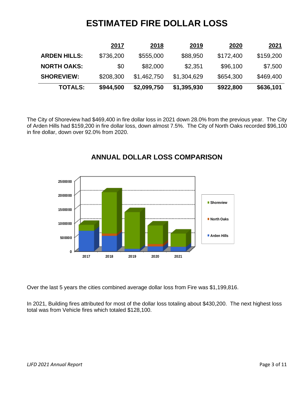### **ESTIMATED FIRE DOLLAR LOSS**

|                     | 2017      | 2018        | 2019        | 2020      | <u> 2021</u> |
|---------------------|-----------|-------------|-------------|-----------|--------------|
| <b>ARDEN HILLS:</b> | \$736,200 | \$555,000   | \$88,950    | \$172,400 | \$159,200    |
| <b>NORTH OAKS:</b>  | \$0       | \$82,000    | \$2,351     | \$96,100  | \$7,500      |
| <b>SHOREVIEW:</b>   | \$208,300 | \$1,462,750 | \$1,304,629 | \$654,300 | \$469,400    |
| <b>TOTALS:</b>      | \$944,500 | \$2,099,750 | \$1,395,930 | \$922,800 | \$636,101    |

The City of Shoreview had \$469,400 in fire dollar loss in 2021 down 28.0% from the previous year. The City of Arden Hills had \$159,200 in fire dollar loss, down almost 7.5%. The City of North Oaks recorded \$96,100 in fire dollar, down over 92.0% from 2020.



#### **ANNUAL DOLLAR LOSS COMPARISON**

Over the last 5 years the cities combined average dollar loss from Fire was \$1,199,816.

In 2021, Building fires attributed for most of the dollar loss totaling about \$430,200. The next highest loss total was from Vehicle fires which totaled \$128,100.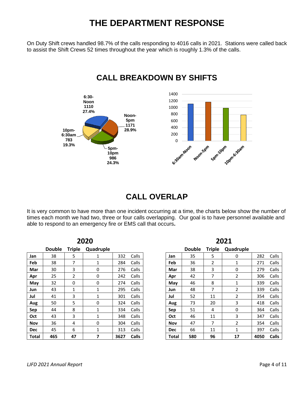### **THE DEPARTMENT RESPONSE**

On Duty Shift crews handled 98.7% of the calls responding to 4016 calls in 2021. Stations were called back to assist the Shift Crews 52 times throughout the year which is roughly 1.3% of the calls.



#### **CALL BREAKDOWN BY SHIFTS**

### **CALL OVERLAP**

It is very common to have more than one incident occurring at a time, the charts below show the number of times each month we had two, three or four calls overlapping. Our goal is to have personnel available and able to respond to an emergency fire or EMS call that occurs**.**

|            |               |               | 2020         |      |              |
|------------|---------------|---------------|--------------|------|--------------|
|            | <b>Double</b> | <b>Triple</b> | Quadruple    |      |              |
| Jan        | 38            | 5             | 1            | 332  | Calls        |
| Feb        | 38            | 7             | $\mathbf{1}$ | 284  | Calls        |
| Mar        | 30            | 3             | 0            | 276  | Calls        |
| Apr        | 25            | 2             | 0            | 242  | Calls        |
| May        | 32            | 0             | 0            | 274  | Calls        |
| Jun        | 43            | $\mathbf{1}$  | $\mathbf{1}$ | 295  | Calls        |
| Jul        | 41            | 3             | $\mathbf{1}$ | 301  | Calls        |
| Aug        | 50            | 5             | 0            | 324  | Calls        |
| Sep        | 44            | 8             | 1            | 334  | Calls        |
| Oct        | 43            | 3             | 1            | 348  | Calls        |
| Nov        | 36            | 4             | 0            | 304  | Calls        |
| <b>Dec</b> | 45            | 6             | 1            | 313  | Calls        |
| Total      | 465           | 47            | 7            | 3627 | <b>Calls</b> |

|            |               |               | 2021      |      |       |
|------------|---------------|---------------|-----------|------|-------|
|            | <b>Double</b> | <b>Triple</b> | Quadruple |      |       |
| Jan        | 35            | 5             | 0         | 282  | Calls |
| Feb        | 36            | 2             | 1         | 271  | Calls |
| Mar        | 38            | 3             | 0         | 279  | Calls |
| Apr        | 42            | 7             | 2         | 306  | Calls |
| May        | 46            | 8             | 1         | 339  | Calls |
| Jun        | 48            | 7             | 2         | 339  | Calls |
| Jul        | 52            | 11            | 2         | 354  | Calls |
| Aug        | 73            | 20            | 3         | 418  | Calls |
| Sep        | 51            | 4             | 0         | 364  | Calls |
| Oct        | 46            | 11            | 3         | 347  | Calls |
| Nov        | 47            | 7             | 2         | 354  | Calls |
| <b>Dec</b> | 66            | 11            | 1         | 397  | Calls |
| Total      | 580           | 96            | 17        | 4050 | Calls |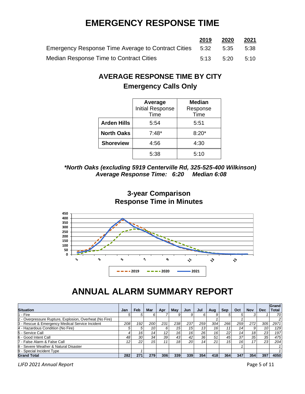### **EMERGENCY RESPONSE TIME**

|                                                              | 2019 | 2020 | <u>2021</u> |
|--------------------------------------------------------------|------|------|-------------|
| Emergency Response Time Average to Contract Cities 5:32 5:35 |      |      | 5:38        |
| Median Response Time to Contract Cities                      | 5.13 | 5.20 | 5:10        |

#### **AVERAGE RESPONSE TIME BY CITY Emergency Calls Only**

|                    | Average<br>Initial Response<br>Time | <b>Median</b><br>Response<br>Time |
|--------------------|-------------------------------------|-----------------------------------|
| <b>Arden Hills</b> | 5:54                                | 5:51                              |
| <b>North Oaks</b>  | $7:48*$                             | $8:20*$                           |
| <b>Shoreview</b>   | 4:56                                | 4:30                              |
|                    | 5:38                                | 5:10                              |

#### *\*North Oaks (excluding 5919 Centerville Rd, 325-525-400 Wilkinson) Average Response Time: 6:20 Median 6:08*





### **ANNUAL ALARM SUMMARY REPORT**

| <b>Situation</b>                                        | Jan | Feb | <b>Mar</b>      | Apr             | Mav             | Jun | Jul | Aua             | <b>Sep</b>      | Oct | <b>Nov</b> | <b>Dec</b> | Grand<br><b>Total</b> |
|---------------------------------------------------------|-----|-----|-----------------|-----------------|-----------------|-----|-----|-----------------|-----------------|-----|------------|------------|-----------------------|
| 11 - Fire                                               |     |     |                 |                 |                 |     |     |                 |                 |     |            |            | 70                    |
| 2 - Overpressure Rupture, Explosion, Overheat (No Fire) |     |     |                 |                 |                 |     |     |                 |                 |     |            |            |                       |
| 3 - Rescue & Emergency Medical Service Incident         | 208 | 192 | 200             | 231             | 238             | 237 | 259 | 304             | 266             | 259 | 272        | 305        | 2971                  |
| 4 - Hazardous Condition (No Fire)                       | 5   | 5   | 10              | 6               | 15 <sub>1</sub> | 15  | 13  | 16 <sup>1</sup> |                 |     |            | 10         | 129                   |
| 5 - Service Call                                        |     | 16  | 14 <sub>1</sub> | 12 <sub>1</sub> | 16 <sub>1</sub> | 16  | 26  | 16              | 22              | 14  | 18         | 23         | 197                   |
| 6 - Good Intent Call                                    | 48  | 30  | 34              | 391             | 43              | 42  | 36  | 51              | 45              | 37  | 35         | 35         | 475                   |
| 7 - False Alarm & False Call                            | 12  | 22  | 15              | 11              | 18 <sup>1</sup> | 20  | 14  | 21              | 15 <sup>1</sup> | 161 |            | 23         | 204                   |
| 8 - Severe Weather & Natural Disaster                   |     |     |                 |                 |                 |     |     |                 |                 |     |            |            |                       |
| 9 - Special Incident Type                               |     |     |                 |                 |                 |     |     |                 |                 |     |            |            |                       |
| <b>Grand Total</b>                                      | 282 | 271 | 279             | 306             | 339             | 339 | 354 | 418             | 364             | 347 | 354        | 397        | 4050                  |

*LJFD 2021 Annual Report* Page 5 of 11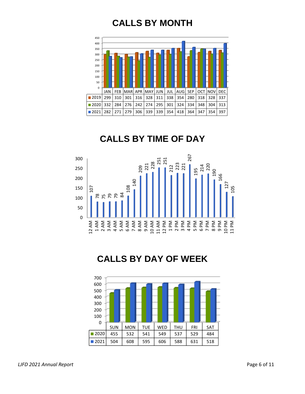### **CALLS BY MONTH**



### **CALLS BY TIME OF DAY**



### **CALLS BY DAY OF WEEK**

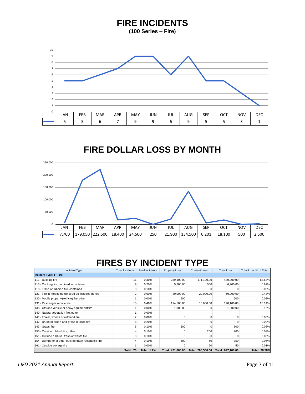### **FIRE INCIDENTS**

**(100 Series – Fire)**



### **FIRE DOLLAR LOSS BY MONTH**



### **FIRES BY INCIDENT TYPE**

| Incident Type                                         | <b>Total Incidents</b> | % of Incidents     | <b>Property Loss</b> | <b>Content Loss</b> | <b>Total Loss</b> | Total Loss % of Total |
|-------------------------------------------------------|------------------------|--------------------|----------------------|---------------------|-------------------|-----------------------|
| Incident Type: 1 - Fire                               |                        |                    |                      |                     |                   |                       |
| 111 - Building fire                                   | 11                     | 0.30%              | 259,100.00           | 171,100.00          | 430,200.00        | 67.63%                |
| 113 - Cooking fire, confined to container             | 9                      | 0.20%              | 5,700.00             | 500                 | 6,200.00          | 0.97%                 |
| 118 - Trash or rubbish fire, contained                | 3                      | 0.10%              |                      |                     |                   | 0.00%                 |
| 121 - Fire in mobile home used as fixed residence     | 2                      | 0.00%              | 40,000.00            | 20,000.00           | 60,000.00         | 9.43%                 |
| 130 - Mobile property (vehicle) fire, other           |                        | 0.00%              | 500                  |                     | 500               | 0.08%                 |
| 131 - Passenger vehicle fire                          | 15                     | 0.40%              | 114,500.00           | 13,600.00           | 128,100.00        | 20.14%                |
| 138 - Off-road vehicle or heavy equipment fire        |                        | 0.00%              | 1,000.00             |                     | 1,000.00          | 0.16%                 |
| 140 - Natural vegetation fire, other                  |                        | $0.00\%$           |                      |                     |                   |                       |
| 141 - Forest, woods or wildland fire                  | 2                      | $0.00\%$           | $\Omega$             |                     | $\Omega$          | 0.00%                 |
| 142 - Brush or brush-and-grass mixture fire           | 8                      | 0.20%              | O                    |                     | n                 | 0.00%                 |
| 143 - Grass fire                                      | 5                      | 0.10%              | 500                  |                     | 500               | 0.08%                 |
| 150 - Outside rubbish fire, other                     |                        | 0.10%              |                      | 200                 | 200               | 0.03%                 |
| 151 - Outside rubbish, trash or waste fire            |                        | 0.10%              |                      |                     | n                 | 0.00%                 |
| 154 - Dumpster or other outside trash receptacle fire |                        | 0.10%              | 300                  | 50                  | 350               | 0.06%                 |
| 161 - Outside storage fire                            |                        | 0.00%              | 0                    | 50                  | 50                | 0.01%                 |
|                                                       | Total: 70              | <b>Total: 1.7%</b> | Total: 421,600.00    | Total: 205,500.00   | Total: 627.100.00 | Total: 98.58%         |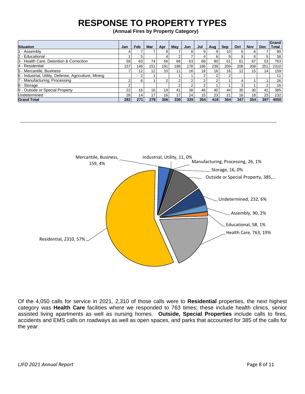### **RESPONSE TO PROPERTY TYPES**

**(Annual Fires by Property Category)**

| <b>Situation</b>                                      | Jan             | Feb               | Mar | Apr             | May  | Jun             | Jul | Aug             | <b>Sep</b>      | Oct             | <b>Nov</b> | <b>Dec</b>      | Grand<br><b>Total</b> |
|-------------------------------------------------------|-----------------|-------------------|-----|-----------------|------|-----------------|-----|-----------------|-----------------|-----------------|------------|-----------------|-----------------------|
| 1 - Assembly                                          | 4               |                   |     | 8               |      |                 |     | 9               | 10              | 6               |            |                 | 90                    |
| 2 - Educational                                       |                 |                   |     |                 |      |                 |     | 6               | 9               | 9               |            | 5               | 58                    |
| 3 - Health Care, Detention & Correction               | 59              | 63                | 74  | 56              | 68   | 63              | 68  | 80              | 51              | 61              | 67         | 53              | 763                   |
| 4 - Residential                                       | 157             | 146               | 151 | 191             | 1881 | 178             | 186 | 239             | 209             | 206             | 208        | 251             | 2310                  |
| 5 - Mercantile, Business                              |                 | $12 \overline{ }$ | 12  | 10              | 11   | 16              | 18  | 16              | 16 <sub>1</sub> | 12              | 15         | 14 <sub>1</sub> | 159                   |
| 6 - Industrial, Utility, Defense, Agriculture, Mining |                 |                   |     |                 |      |                 |     |                 | 2               |                 |            |                 | 11                    |
| 7 - Manufacturing, Processing                         | ◠               | 6                 |     | 2               |      | ີ               |     |                 |                 | 4               |            |                 | 26                    |
| 8 - Storage                                           | ົ               |                   |     |                 |      |                 |     |                 |                 | 3               |            | ◠               | 16                    |
| 9 - Outside or Special Property                       | 22              | 16                | 16  | 19              | 41   | 38 <sup>1</sup> | 48  | 40              | 44              | 30 <sub>1</sub> | 30         | 41              | 385                   |
| Undetermined                                          | 28 <sub>1</sub> | 14.               | 17  | 16 <sub>1</sub> | 17   | 24 <sub>1</sub> | 15  | 23 <sub>1</sub> | 21              | 16 <sub>1</sub> | 18         | 23              | 232                   |
| <b>Grand Total</b>                                    | 282             | 271               | 279 | 306             | 339  | 339             | 354 | 418             | 364             | 347             | 354        | 397             | 4050                  |



Of the 4,050 calls for service in 2021, 2,310 of those calls were to **Residential** properties, the next highest category was **Health Care** facilities where we responded to 763 times; these include health clinics, senior assisted living apartments as well as nursing homes. **Outside, Special Properties** include calls to fires, accidents and EMS calls on roadways as well as open spaces, and parks that accounted for 385 of the calls for the year.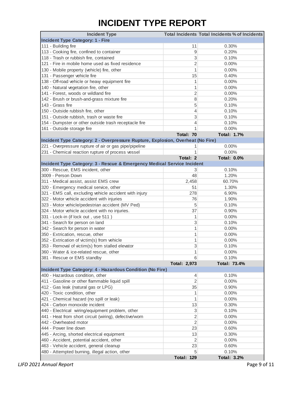### **INCIDENT TYPE REPORT**

| <b>Incident Type</b>                                                            |                   | <b>Total Incidents Total Incidents % of Incidents</b> |
|---------------------------------------------------------------------------------|-------------------|-------------------------------------------------------|
| <b>Incident Type Category: 1 - Fire</b>                                         |                   |                                                       |
| 111 - Building fire                                                             | 11                | 0.30%                                                 |
| 113 - Cooking fire, confined to container                                       | 9                 | 0.20%                                                 |
| 118 - Trash or rubbish fire, contained                                          | 3                 | 0.10%                                                 |
| 121 - Fire in mobile home used as fixed residence                               | $\overline{2}$    | 0.00%                                                 |
| 130 - Mobile property (vehicle) fire, other                                     | 1                 | 0.00%                                                 |
| 131 - Passenger vehicle fire                                                    | 15                | 0.40%                                                 |
| 138 - Off-road vehicle or heavy equipment fire                                  | 1                 | 0.00%                                                 |
| 140 - Natural vegetation fire, other                                            | 1                 | 0.00%                                                 |
| 141 - Forest, woods or wildland fire                                            | $\overline{2}$    | 0.00%                                                 |
| 142 - Brush or brush-and-grass mixture fire                                     | 8                 | 0.20%                                                 |
| 143 - Grass fire                                                                | 5                 | 0.10%                                                 |
| 150 - Outside rubbish fire, other                                               | 4                 | 0.10%                                                 |
| 151 - Outside rubbish, trash or waste fire                                      | 3                 | 0.10%                                                 |
| 154 - Dumpster or other outside trash receptacle fire                           | 4                 | 0.10%                                                 |
| 161 - Outside storage fire                                                      | 1                 | 0.00%                                                 |
|                                                                                 | Total: 70         | <b>Total: 1.7%</b>                                    |
| Incident Type Category: 2 - Overpressure Rupture, Explosion, Overheat (No Fire) |                   |                                                       |
| 221 - Overpressure rupture of air or gas pipe/pipeline                          |                   | 0.00%                                                 |
| 231 - Chemical reaction rupture of process vessel                               | 1                 | 0.00%                                                 |
|                                                                                 | Total: 2          | <b>Total: 0.0%</b>                                    |
| Incident Type Category: 3 - Rescue & Emergency Medical Service Incident         |                   |                                                       |
| 300 - Rescue, EMS incident, other                                               | 3                 | 0.10%                                                 |
| 3009 - Person Down                                                              | 48                | 1.20%                                                 |
| 311 - Medical assist, assist EMS crew                                           |                   | 60.70%                                                |
|                                                                                 | 2,458             |                                                       |
| 320 - Emergency medical service, other                                          | 51                | 1.30%                                                 |
| 321 - EMS call, excluding vehicle accident with injury                          | 278               | 6.90%                                                 |
| 322 - Motor vehicle accident with injuries                                      | 76                | 1.90%                                                 |
| 323 - Motor vehicle/pedestrian accident (MV Ped)                                | 5                 | 0.10%                                                 |
| 324 - Motor vehicle accident with no injuries.                                  | 37                | 0.90%                                                 |
| 331 - Lock-in (if lock out, use 511)                                            | 1                 | 0.00%                                                 |
| 341 - Search for person on land                                                 | 3                 | 0.10%                                                 |
| 342 - Search for person in water                                                | 1                 | 0.00%                                                 |
| 350 - Extrication, rescue, other                                                | 1                 | 0.00%                                                 |
| 352 - Extrication of victim(s) from vehicle                                     | 1                 | 0.00%                                                 |
| 353 - Removal of victim(s) from stalled elevator                                | 3                 | 0.10%                                                 |
| 360 - Water & ice-related rescue, other                                         | 1                 | 0.00%                                                 |
| 381 - Rescue or EMS standby                                                     | 6                 | 0.10%                                                 |
|                                                                                 | Total: 2,973      | Total: 73.4%                                          |
| Incident Type Category: 4 - Hazardous Condition (No Fire)                       |                   |                                                       |
| 400 - Hazardous condition, other                                                | 4                 | 0.10%                                                 |
| 411 - Gasoline or other flammable liquid spill                                  | 2                 | 0.00%                                                 |
| 412 - Gas leak (natural gas or LPG)                                             | 35                | 0.90%                                                 |
| 420 - Toxic condition, other                                                    | 1                 | 0.00%                                                 |
| 421 - Chemical hazard (no spill or leak)                                        | 1                 | 0.00%                                                 |
| 424 - Carbon monoxide incident                                                  | 13                | 0.30%                                                 |
| 440 - Electrical wiring/equipment problem, other                                | 3                 | 0.10%                                                 |
| 441 - Heat from short circuit (wiring), defective/worn                          | $\overline{c}$    | 0.00%                                                 |
| 442 - Overheated motor                                                          | $\overline{2}$    | 0.00%                                                 |
| 444 - Power line down                                                           | 23                | 0.60%                                                 |
| 445 - Arcing, shorted electrical equipment                                      | 13                | 0.30%                                                 |
| 460 - Accident, potential accident, other                                       | $\overline{2}$    | 0.00%                                                 |
| 463 - Vehicle accident, general cleanup                                         | 23                | 0.60%                                                 |
| 480 - Attempted burning, illegal action, other                                  | 5                 | 0.10%                                                 |
|                                                                                 | <b>Total: 129</b> | <b>Total: 3.2%</b>                                    |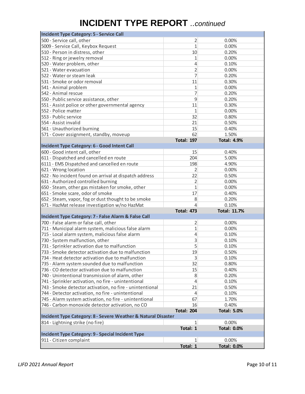### **INCIDENT TYPE REPORT** *..continued*

| <b>Incident Type Category: 5 - Service Call</b>               |                   |                     |
|---------------------------------------------------------------|-------------------|---------------------|
| 500 - Service call, other                                     | 2                 | 0.00%               |
| 5009 - Service Call, Keybox Request                           | 1                 | 0.00%               |
| 510 - Person in distress, other                               | 10                | 0.20%               |
| 512 - Ring or jewelry removal                                 | 1                 | 0.00%               |
| 520 - Water problem, other                                    | 4                 | 0.10%               |
| 521 - Water evacuation                                        | $\overline{2}$    | 0.00%               |
| 522 - Water or steam leak                                     | $\overline{7}$    | 0.20%               |
| 531 - Smoke or odor removal                                   | 11                | 0.30%               |
| 541 - Animal problem                                          | 1                 | 0.00%               |
| 542 - Animal rescue                                           | 7                 | 0.20%               |
| 550 - Public service assistance, other                        | 9                 | 0.20%               |
| 551 - Assist police or other governmental agency              | 11                | 0.30%               |
| 552 - Police matter                                           | $\mathbf 1$       | 0.00%               |
| 553 - Public service                                          | 32                | 0.80%               |
| 554 - Assist invalid                                          | 21                | 0.50%               |
| 561 - Unauthorized burning                                    | 15                | 0.40%               |
| 571 - Cover assignment, standby, moveup                       | 62                | 1.50%               |
|                                                               | <b>Total: 197</b> | <b>Total: 4.9%</b>  |
| Incident Type Category: 6 - Good Intent Call                  |                   |                     |
| 600 - Good intent call, other                                 | 15                | 0.40%               |
| 611 - Dispatched and cancelled en route                       | 204               | 5.00%               |
| 6111 - EMS Dispatched and cancelled en route                  | 198               | 4.90%               |
| 621 - Wrong location                                          | 2                 | 0.00%               |
| 622 - No incident found on arrival at dispatch address        | 22                | 0.50%               |
| 631 - Authorized controlled burning                           | 2                 | 0.00%               |
| 650 - Steam, other gas mistaken for smoke, other              | 1                 | 0.00%               |
| 651 - Smoke scare, odor of smoke                              | 17                | 0.40%               |
| 652 - Steam, vapor, fog or dust thought to be smoke           | 8                 | 0.20%               |
| 671 - HazMat release investigation w/no HazMat                | 4                 | 0.10%               |
|                                                               | <b>Total: 473</b> | <b>Total: 11.7%</b> |
| Incident Type Category: 7 - False Alarm & False Call          |                   |                     |
| 700 - False alarm or false call, other                        | 2                 | 0.00%               |
| 711 - Municipal alarm system, malicious false alarm           | 1                 | 0.00%               |
| 715 - Local alarm system, malicious false alarm               | $\overline{4}$    | 0.10%               |
| 730 - System malfunction, other                               | 3                 | 0.10%               |
| 731 - Sprinkler activation due to malfunction                 | 5                 | 0.10%               |
| 733 - Smoke detector activation due to malfunction            | 19                | 0.50%               |
| 734 - Heat detector activation due to malfunction             | 3                 | 0.10%               |
| 735 - Alarm system sounded due to malfunction                 | 32                | 0.80%               |
| 736 - CO detector activation due to malfunction               | 15                | 0.40%               |
| 740 - Unintentional transmission of alarm, other              | 8                 | 0.20%               |
| 741 - Sprinkler activation, no fire - unintentional           | $\overline{4}$    | 0.10%               |
| 743 - Smoke detector activation, no fire - unintentional      | 21                | 0.50%               |
| 744 - Detector activation, no fire - unintentional            | $\overline{4}$    | 0.10%               |
| 745 - Alarm system activation, no fire - unintentional        | 67                | 1.70%               |
| 746 - Carbon monoxide detector activation, no CO              | 16                | 0.40%               |
|                                                               | <b>Total: 204</b> | <b>Total: 5.0%</b>  |
| Incident Type Category: 8 - Severe Weather & Natural Disaster |                   |                     |
| 814 - Lightning strike (no fire)                              | 1                 | 0.00%               |
|                                                               | Total: 1          | <b>Total: 0.0%</b>  |
| Incident Type Category: 9 - Special Incident Type             |                   |                     |
| 911 - Citizen complaint                                       | $\mathbf{1}$      | 0.00%               |
|                                                               | Total: 1          | <b>Total: 0.0%</b>  |